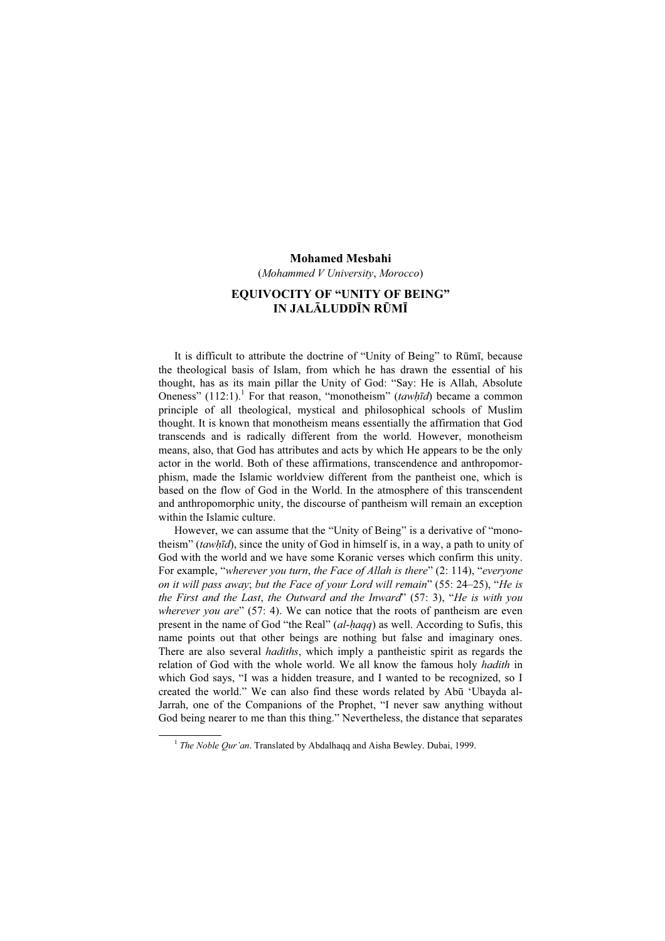#### Mohamed Mesbahi

(Mohammed V University, Morocco)

## EQUIVOCITY OF "UNITY OF BEING" IN JALĀLUDDĪN RŪMĪ

It is difficult to attribute the doctrine of "Unity of Being" to Rūmī, because the theological basis of Islam, from which he has drawn the essential of his thought, has as its main pillar the Unity of God: "Say: He is Allah, Absolute Oneness"  $(112:1)$ .<sup>1</sup> For that reason, "monotheism" (tawhīd) became a common principle of all theological, mystical and philosophical schools of Muslim thought. It is known that monotheism means essentially the affirmation that God transcends and is radically different from the world. However, monotheism means, also, that God has attributes and acts by which He appears to be the only actor in the world. Both of these affirmations, transcendence and anthropomorphism, made the Islamic worldview different from the pantheist one, which is based on the flow of God in the World. In the atmosphere of this transcendent and anthropomorphic unity, the discourse of pantheism will remain an exception within the Islamic culture.

However, we can assume that the "Unity of Being" is a derivative of "monotheism" (tawhīd), since the unity of God in himself is, in a way, a path to unity of God with the world and we have some Koranic verses which confirm this unity. For example, "wherever you turn, the Face of Allah is there" (2: 114), "everyone on it will pass away; but the Face of your Lord will remain" (55: 24–25), "He is the First and the Last, the Outward and the Inward" (57: 3), "He is with you wherever you are"  $(57: 4)$ . We can notice that the roots of pantheism are even present in the name of God "the Real" (al-ḥaqq) as well. According to Sufis, this name points out that other beings are nothing but false and imaginary ones. There are also several *hadiths*, which imply a pantheistic spirit as regards the relation of God with the whole world. We all know the famous holy *hadith* in which God says, "I was a hidden treasure, and I wanted to be recognized, so I created the world." We can also find these words related by Abū 'Ubayda al-Jarrah, one of the Companions of the Prophet, "I never saw anything without God being nearer to me than this thing." Nevertheless, the distance that separates

<sup>&</sup>lt;sup>1</sup> The Noble Qur'an. Translated by Abdalhaqq and Aisha Bewley. Dubai, 1999.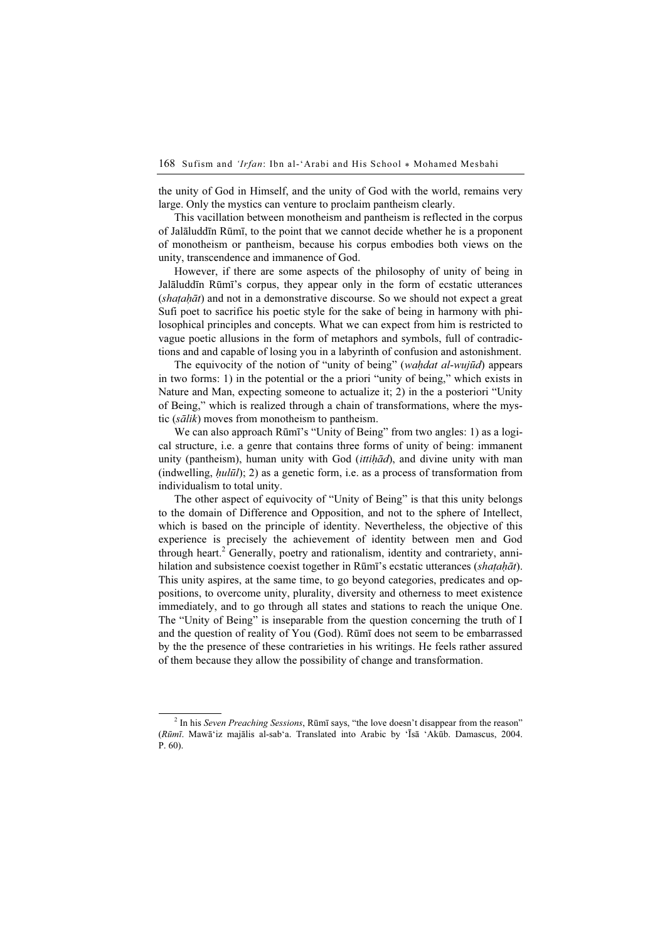the unity of God in Himself, and the unity of God with the world, remains very large. Only the mystics can venture to proclaim pantheism clearly.

This vacillation between monotheism and pantheism is reflected in the corpus of Jalāluddīn Rūmī, to the point that we cannot decide whether he is a proponent of monotheism or pantheism, because his corpus embodies both views on the unity, transcendence and immanence of God.

However, if there are some aspects of the philosophy of unity of being in Jalāluddīn Rūmī's corpus, they appear only in the form of ecstatic utterances  $(shatah\bar{a}t)$  and not in a demonstrative discourse. So we should not expect a great Sufi poet to sacrifice his poetic style for the sake of being in harmony with philosophical principles and concepts. What we can expect from him is restricted to vague poetic allusions in the form of metaphors and symbols, full of contradictions and and capable of losing you in a labyrinth of confusion and astonishment.

The equivocity of the notion of "unity of being" (waḥdat al-wujūd) appears in two forms: 1) in the potential or the a priori "unity of being," which exists in Nature and Man, expecting someone to actualize it; 2) in the a posteriori "Unity of Being," which is realized through a chain of transformations, where the mystic (sālik) moves from monotheism to pantheism.

We can also approach Rūmī's "Unity of Being" from two angles: 1) as a logical structure, i.e. a genre that contains three forms of unity of being: immanent unity (pantheism), human unity with God ( $i$ ttih $\bar{a}$ d), and divine unity with man (indwelling,  $hul\bar{u}l$ ); 2) as a genetic form, i.e. as a process of transformation from individualism to total unity.

The other aspect of equivocity of "Unity of Being" is that this unity belongs to the domain of Difference and Opposition, and not to the sphere of Intellect, which is based on the principle of identity. Nevertheless, the objective of this experience is precisely the achievement of identity between men and God through heart.<sup>2</sup> Generally, poetry and rationalism, identity and contrariety, annihilation and subsistence coexist together in Rūmī's ecstatic utterances (shaṭaḥāt). This unity aspires, at the same time, to go beyond categories, predicates and oppositions, to overcome unity, plurality, diversity and otherness to meet existence immediately, and to go through all states and stations to reach the unique One. The "Unity of Being" is inseparable from the question concerning the truth of I and the question of reality of You (God). Rūmī does not seem to be embarrassed by the the presence of these contrarieties in his writings. He feels rather assured of them because they allow the possibility of change and transformation.

 $2$  In his Seven Preaching Sessions, Rūmī says, "the love doesn't disappear from the reason" (Rūmī. Mawā'iz majālis al-sab'a. Translated into Arabic by 'Īsā 'Akūb. Damascus, 2004. P. 60).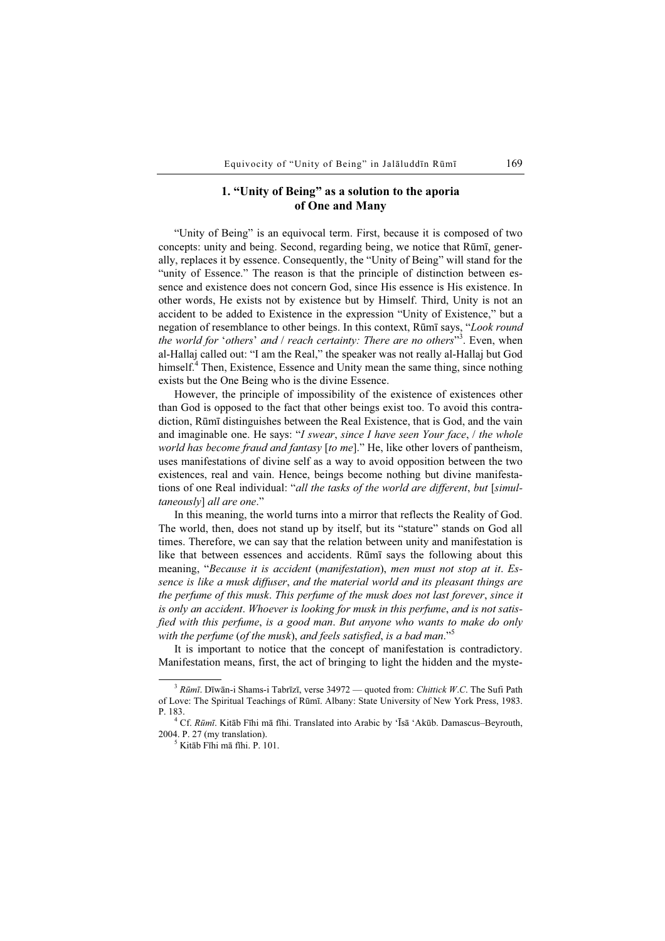# 1. "Unity of Being" as a solution to the aporia of One and Many

"Unity of Being" is an equivocal term. First, because it is composed of two concepts: unity and being. Second, regarding being, we notice that Rūmī, generally, replaces it by essence. Consequently, the "Unity of Being" will stand for the "unity of Essence." The reason is that the principle of distinction between essence and existence does not concern God, since His essence is His existence. In other words, He exists not by existence but by Himself. Third, Unity is not an accident to be added to Existence in the expression "Unity of Existence," but a negation of resemblance to other beings. In this context, Rūmī says, "Look round the world for 'others' and  $/$  reach certainty: There are no others"<sup>3</sup>. Even, when al-Hallaj called out: "I am the Real," the speaker was not really al-Hallaj but God himself.<sup>4</sup> Then, Existence, Essence and Unity mean the same thing, since nothing exists but the One Being who is the divine Essence.

However, the principle of impossibility of the existence of existences other than God is opposed to the fact that other beings exist too. To avoid this contradiction, Rūmī distinguishes between the Real Existence, that is God, and the vain and imaginable one. He says: "I swear, since I have seen Your face,  $/$  the whole world has become fraud and fantasy [to me]." He, like other lovers of pantheism, uses manifestations of divine self as a way to avoid opposition between the two existences, real and vain. Hence, beings become nothing but divine manifestations of one Real individual: "all the tasks of the world are different, but [simultaneously] all are one."

In this meaning, the world turns into a mirror that reflects the Reality of God. The world, then, does not stand up by itself, but its "stature" stands on God all times. Therefore, we can say that the relation between unity and manifestation is like that between essences and accidents. Rūmī says the following about this meaning, "Because it is accident (manifestation), men must not stop at it. Essence is like a musk diffuser, and the material world and its pleasant things are the perfume of this musk. This perfume of the musk does not last forever, since it is only an accident. Whoever is looking for musk in this perfume, and is not satisfied with this perfume, is a good man. But anyone who wants to make do only with the perfume (of the musk), and feels satisfied, is a bad man."<sup>5</sup>

It is important to notice that the concept of manifestation is contradictory. Manifestation means, first, the act of bringing to light the hidden and the myste-

 $3$  Rūmī. Dīwān-i Shams-i Tabrīzī, verse 34972 — quoted from: Chittick W.C. The Sufi Path of Love: The Spiritual Teachings of Rūmī. Albany: State University of New York Press, 1983. P. 183. <sup>4</sup>

 $^{4}$  Cf. Rūmī. Kitāb Fīhi mā fīhi. Translated into Arabic by 'Īsā 'Akūb. Damascus–Beyrouth, 2004. P. 27 (my translation). <sup>5</sup>

 $5$  Kitāb Fīhi mā fīhi. P. 101.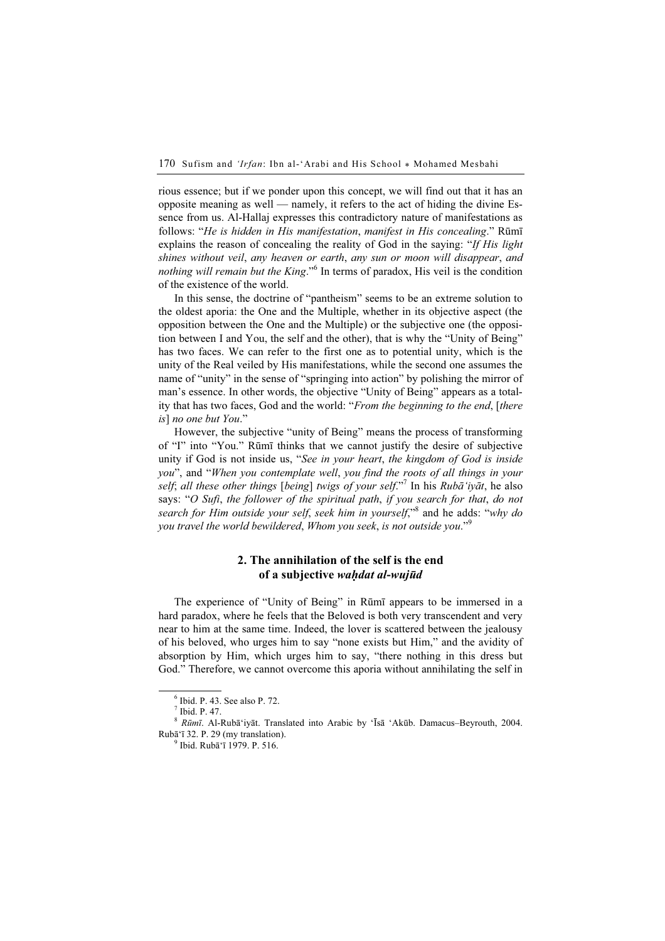rious essence; but if we ponder upon this concept, we will find out that it has an opposite meaning as well — namely, it refers to the act of hiding the divine Essence from us. Al-Hallaj expresses this contradictory nature of manifestations as follows: "He is hidden in His manifestation, manifest in His concealing." Rūmī explains the reason of concealing the reality of God in the saying: "If His light shines without veil, any heaven or earth, any sun or moon will disappear, and nothing will remain but the King."<sup>6</sup> In terms of paradox, His veil is the condition of the existence of the world.

In this sense, the doctrine of "pantheism" seems to be an extreme solution to the oldest aporia: the One and the Multiple, whether in its objective aspect (the opposition between the One and the Multiple) or the subjective one (the opposition between I and You, the self and the other), that is why the "Unity of Being" has two faces. We can refer to the first one as to potential unity, which is the unity of the Real veiled by His manifestations, while the second one assumes the name of "unity" in the sense of "springing into action" by polishing the mirror of man's essence. In other words, the objective "Unity of Being" appears as a totality that has two faces, God and the world: "From the beginning to the end, [there is] no one but You."

However, the subjective "unity of Being" means the process of transforming of "I" into "You." Rūmī thinks that we cannot justify the desire of subjective unity if God is not inside us, "See in your heart, the kingdom of God is inside you", and "When you contemplate well, you find the roots of all things in your self; all these other things [being] twigs of your self."<sup>7</sup> In his Rubā'iyāt, he also says: "O Sufi, the follower of the spiritual path, if you search for that, do not search for Him outside your self, seek him in yourself,"<sup>8</sup> and he adds: "why do you travel the world bewildered, Whom you seek, is not outside you."<sup>9</sup>

## 2. The annihilation of the self is the end of a subjective waḥdat al-wujūd

The experience of "Unity of Being" in Rūmī appears to be immersed in a hard paradox, where he feels that the Beloved is both very transcendent and very near to him at the same time. Indeed, the lover is scattered between the jealousy of his beloved, who urges him to say "none exists but Him," and the avidity of absorption by Him, which urges him to say, "there nothing in this dress but God." Therefore, we cannot overcome this aporia without annihilating the self in

<sup>6</sup> Ibid. P. 43. See also P. 72.

<sup>7</sup> Ibid. P. 47.

 $8$  Rūmī. Al-Rubā'iyāt. Translated into Arabic by 'Īsā 'Akūb. Damacus–Beyrouth, 2004.  $Rubā'ī 32. P. 29 (mv translation).$ 

<sup>&</sup>lt;sup>9</sup> Ibid. Rubā'ī 1979. P. 516.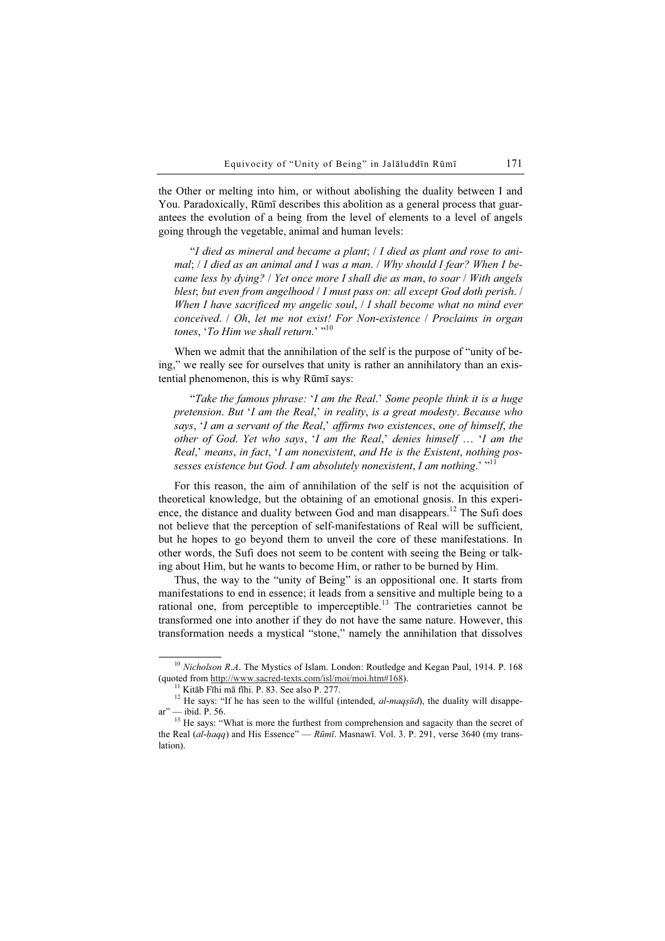the Other or melting into him, or without abolishing the duality between I and You. Paradoxically, Rūmī describes this abolition as a general process that guarantees the evolution of a being from the level of elements to a level of angels going through the vegetable, animal and human levels:

"I died as mineral and became a plant; / I died as plant and rose to animal; / I died as an animal and I was a man. / Why should I fear? When I became less by dying? / Yet once more I shall die as man, to soar / With angels blest; but even from angelhood / I must pass on: all except God doth perish. / When I have sacrificed my angelic soul, *I* I shall become what no mind ever conceived. / Oh, let me not exist! For Non-existence / Proclaims in organ tones, 'To Him we shall return.' "<sup>10</sup>

When we admit that the annihilation of the self is the purpose of "unity of being," we really see for ourselves that unity is rather an annihilatory than an existential phenomenon, this is why Rūmī says:

"Take the famous phrase: 'I am the Real.' Some people think it is a huge pretension. But 'I am the Real,' in reality, is a great modesty. Because who says, 'I am a servant of the Real,' affirms two existences, one of himself, the other of God. Yet who says, 'I am the Real,' denies himself … 'I am the Real,' means, in fact, 'I am nonexistent, and He is the Existent, nothing possesses existence but God. I am absolutely nonexistent, I am nothing.'  $"$ <sup>11</sup>

For this reason, the aim of annihilation of the self is not the acquisition of theoretical knowledge, but the obtaining of an emotional gnosis. In this experience, the distance and duality between God and man disappears.<sup>12</sup> The Sufi does not believe that the perception of self-manifestations of Real will be sufficient, but he hopes to go beyond them to unveil the core of these manifestations. In other words, the Sufi does not seem to be content with seeing the Being or talking about Him, but he wants to become Him, or rather to be burned by Him.

Thus, the way to the "unity of Being" is an oppositional one. It starts from manifestations to end in essence; it leads from a sensitive and multiple being to a rational one, from perceptible to imperceptible.<sup>13</sup> The contrarieties cannot be transformed one into another if they do not have the same nature. However, this transformation needs a mystical "stone," namely the annihilation that dissolves

 $10$  Nicholson R.A. The Mystics of Islam. London: Routledge and Kegan Paul, 1914. P. 168 (quoted from http://www.sacred-texts.com/isl/moi/moi.htm#168).<br><sup>11</sup> Kitāb Fīhi mā fīhi. P. 83. See also P. 277.<br><sup>12</sup> He says: "If he has seen to the willful (intended, *al-maqṣūd*), the duality will disappe-

ar" — ibid. P. 56.<br><sup>13</sup> He says: "What is more the furthest from comprehension and sagacity than the secret of

the Real  $(al-haqq)$  and His Essence" — Rūmī. Masnawī. Vol. 3. P. 291, verse 3640 (my translation).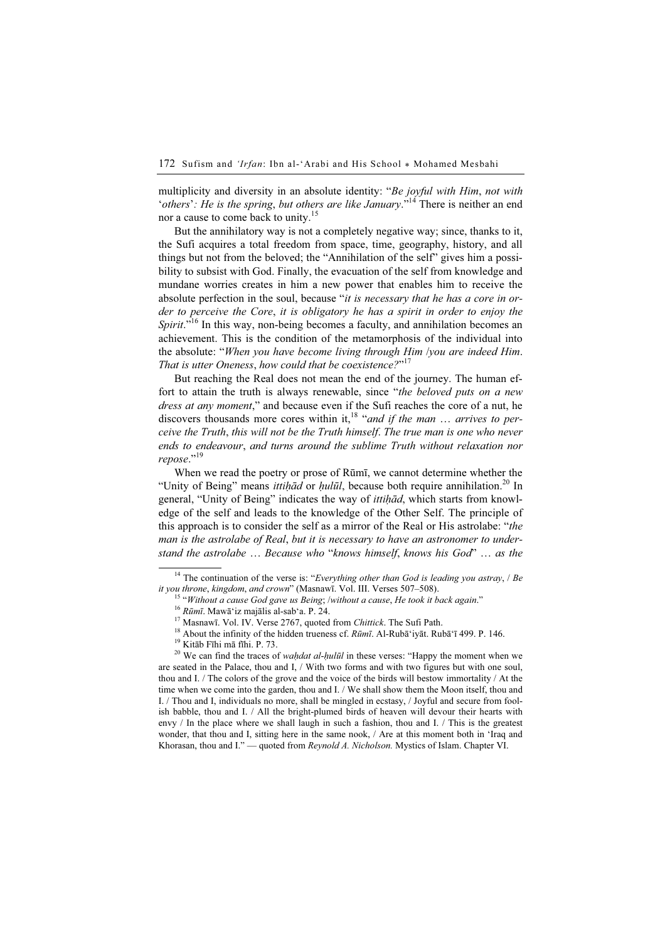multiplicity and diversity in an absolute identity: "Be joyful with Him, not with 'others': He is the spring, but others are like January."<sup>14</sup> There is neither an end nor a cause to come back to unity.<sup>15</sup>

But the annihilatory way is not a completely negative way; since, thanks to it, the Sufi acquires a total freedom from space, time, geography, history, and all things but not from the beloved; the "Annihilation of the self" gives him a possibility to subsist with God. Finally, the evacuation of the self from knowledge and mundane worries creates in him a new power that enables him to receive the absolute perfection in the soul, because "*it is necessary that he has a core in or*der to perceive the Core, it is obligatory he has a spirit in order to enjoy the Spirit."<sup>16</sup> In this way, non-being becomes a faculty, and annihilation becomes an achievement. This is the condition of the metamorphosis of the individual into the absolute: "When you have become living through Him /you are indeed Him. That is utter Oneness, how could that be coexistence?"<sup>17</sup>

But reaching the Real does not mean the end of the journey. The human effort to attain the truth is always renewable, since "the beloved puts on a new dress at any moment," and because even if the Sufi reaches the core of a nut, he discovers thousands more cores within it,<sup>18</sup> "and if the man ... arrives to perceive the Truth, this will not be the Truth himself. The true man is one who never ends to endeavour, and turns around the sublime Truth without relaxation nor repose."<sup>19</sup>

When we read the poetry or prose of Rūmī, we cannot determine whether the "Unity of Being" means *ittiḥād* or *ḥulūl*, because both require annihilation.<sup>20</sup> In general, "Unity of Being" indicates the way of *ittihad*, which starts from knowledge of the self and leads to the knowledge of the Other Self. The principle of this approach is to consider the self as a mirror of the Real or His astrolabe: "the man is the astrolabe of Real, but it is necessary to have an astronomer to understand the astrolabe … Because who "knows himself, knows his God" … as the

<sup>&</sup>lt;sup>14</sup> The continuation of the verse is: "*Everything other than God is leading you astray*,  $/$  *Be it you throne, kingdom, and crown*" (Masnawī. Vol. III. Verses 507–508).

<sup>&</sup>lt;sup>15</sup> "Without a cause God gave us Being; /without a cause, He took it back again."<br><sup>16</sup> Rūmī. Mawā`iz majālis al-sab`a. P. 24.<br><sup>17</sup> Masnawī. Vol. IV. Verse 2767, quoted from *Chittick*. The Sufi Path.<br><sup>18</sup> About the infin

<sup>&</sup>lt;sup>20</sup> We can find the traces of *waḥdat al-ḥulūl* in these verses: "Happy the moment when we are seated in the Palace, thou and I, / With two forms and with two figures but with one soul, thou and I. / The colors of the grove and the voice of the birds will bestow immortality / At the time when we come into the garden, thou and I. / We shall show them the Moon itself, thou and I. / Thou and I, individuals no more, shall be mingled in ecstasy, / Joyful and secure from foolish babble, thou and I. / All the bright-plumed birds of heaven will devour their hearts with envy / In the place where we shall laugh in such a fashion, thou and I. / This is the greatest wonder, that thou and I, sitting here in the same nook, / Are at this moment both in 'Iraq and Khorasan, thou and I." — quoted from Reynold A. Nicholson. Mystics of Islam. Chapter VI.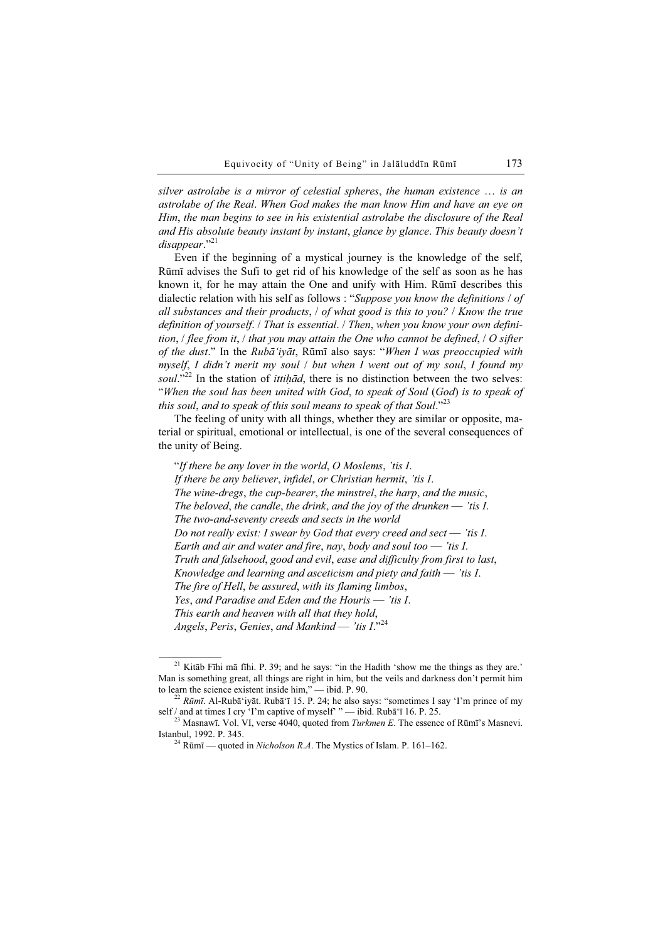silver astrolabe is a mirror of celestial spheres, the human existence … is an astrolabe of the Real. When God makes the man know Him and have an eye on Him, the man begins to see in his existential astrolabe the disclosure of the Real and His absolute beauty instant by instant, glance by glance. This beauty doesn't disappear."<sup>21</sup>

Even if the beginning of a mystical journey is the knowledge of the self, Rūmī advises the Sufi to get rid of his knowledge of the self as soon as he has known it, for he may attain the One and unify with Him. Rūmī describes this dialectic relation with his self as follows : "Suppose you know the definitions / of all substances and their products, / of what good is this to you? / Know the true definition of yourself. / That is essential. / Then, when you know your own definition, / flee from it, / that you may attain the One who cannot be defined, / O sifter of the dust." In the Rubā'iyāt, Rūmī also says: "When I was preoccupied with myself, I didn't merit my soul / but when I went out of my soul, I found my soul."<sup>22</sup> In the station of *ittihad*, there is no distinction between the two selves: "When the soul has been united with God, to speak of Soul (God) is to speak of this soul, and to speak of this soul means to speak of that Soul."23

The feeling of unity with all things, whether they are similar or opposite, material or spiritual, emotional or intellectual, is one of the several consequences of the unity of Being.

"If there be any lover in the world, O Moslems, 'tis I. If there be any believer, infidel, or Christian hermit, 'tis I. The wine-dregs, the cup-bearer, the minstrel, the harp, and the music, The beloved, the candle, the drink, and the joy of the drunken  $-$  'tis I. The two-and-seventy creeds and sects in the world Do not really exist: I swear by God that every creed and sect  $-$  'tis I. Earth and air and water and fire, nay, body and soul too  $-$  'tis I. Truth and falsehood, good and evil, ease and difficulty from first to last, Knowledge and learning and asceticism and piety and faith — 'tis I. The fire of Hell, be assured, with its flaming limbos, Yes, and Paradise and Eden and the Houris — 'tis I. This earth and heaven with all that they hold, Angels, Peris, Genies, and Mankind — 'tis  $I.^{324}$ 

 $21$  Kitāb Fīhi mā fīhi. P. 39; and he says: "in the Hadith 'show me the things as they are.' Man is something great, all things are right in him, but the veils and darkness don't permit him to learn the science existent inside him," — ibid. P. 90.

<sup>&</sup>lt;sup>22</sup> Rūmī. Al-Rubā'iyāt. Rubā'ī 15. P. 24; he also says: "sometimes I say 'I'm prince of my self / and at times I cry 'I'm captive of myself' "— ibid. Rubā'ī 16. P. 25.

<sup>&</sup>lt;sup>23</sup> Masnawī. Vol. VI, verse 4040, quoted from *Turkmen E*. The essence of Rūmī's Masnevi.<br>Istanbul. 1992. P. 345.

<sup>&</sup>lt;sup>24</sup> Rūmī — quoted in *Nicholson R.A*. The Mystics of Islam. P. 161–162.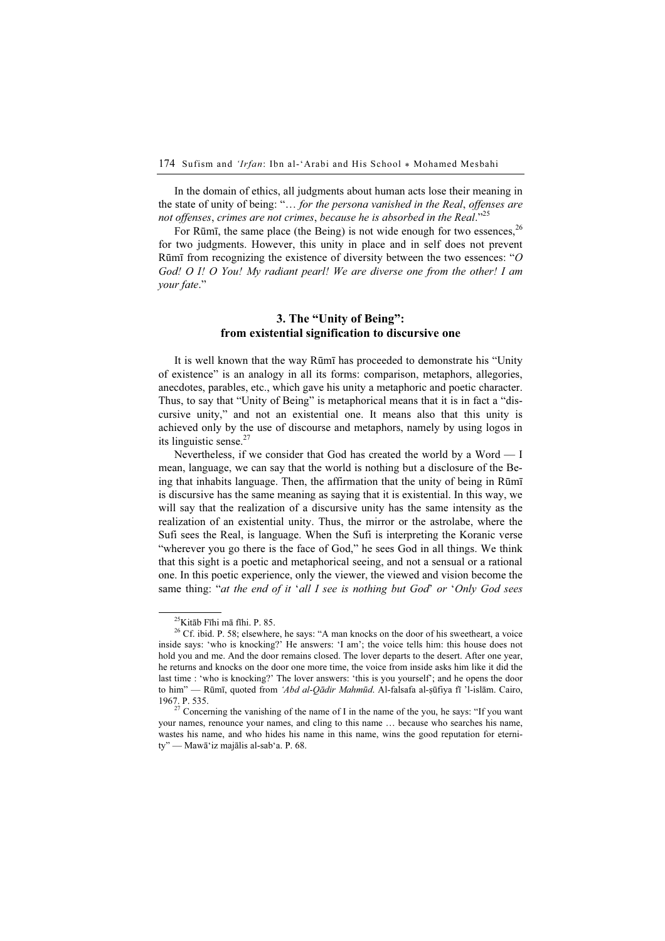In the domain of ethics, all judgments about human acts lose their meaning in the state of unity of being: "… for the persona vanished in the Real, offenses are not offenses, crimes are not crimes, because he is absorbed in the Real."<sup>25</sup>

For Rūmī, the same place (the Being) is not wide enough for two essences,  $^{26}$ for two judgments. However, this unity in place and in self does not prevent Rūmī from recognizing the existence of diversity between the two essences: "O God! O I! O You! My radiant pearl! We are diverse one from the other! I am your fate."

### 3. The "Unity of Being": from existential signification to discursive one

It is well known that the way Rūmī has proceeded to demonstrate his "Unity of existence" is an analogy in all its forms: comparison, metaphors, allegories, anecdotes, parables, etc., which gave his unity a metaphoric and poetic character. Thus, to say that "Unity of Being" is metaphorical means that it is in fact a "discursive unity," and not an existential one. It means also that this unity is achieved only by the use of discourse and metaphors, namely by using logos in its linguistic sense. $27$ 

Nevertheless, if we consider that God has created the world by a Word — I mean, language, we can say that the world is nothing but a disclosure of the Being that inhabits language. Then, the affirmation that the unity of being in Rūmī is discursive has the same meaning as saying that it is existential. In this way, we will say that the realization of a discursive unity has the same intensity as the realization of an existential unity. Thus, the mirror or the astrolabe, where the Sufi sees the Real, is language. When the Sufi is interpreting the Koranic verse "wherever you go there is the face of God," he sees God in all things. We think that this sight is a poetic and metaphorical seeing, and not a sensual or a rational one. In this poetic experience, only the viewer, the viewed and vision become the same thing: "at the end of it 'all I see is nothing but God' or 'Only God sees

<sup>25</sup>Kitāb Fīhi mā fīhi. P. 85.

 $26$  Cf. ibid. P. 58; elsewhere, he says: "A man knocks on the door of his sweetheart, a voice inside says: 'who is knocking?' He answers: 'I am'; the voice tells him: this house does not hold you and me. And the door remains closed. The lover departs to the desert. After one year, he returns and knocks on the door one more time, the voice from inside asks him like it did the last time : 'who is knocking?' The lover answers: 'this is you yourself'; and he opens the door to him" — Rūmī, quoted from 'Abd al-Qādir Mahmūd. Al-falsafa al-ṣūfiya fī 'l-islām. Cairo, 1967. P. 535.

 $27$  Concerning the vanishing of the name of I in the name of the you, he says: "If you want your names, renounce your names, and cling to this name … because who searches his name, wastes his name, and who hides his name in this name, wins the good reputation for eternity" — Mawā'iz majālis al-sab'a. P. 68.